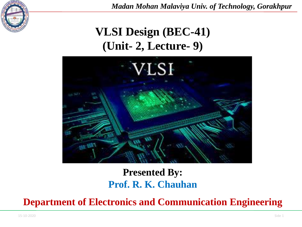

*Madan Mohan Malaviya Univ. of Technology, Gorakhpur*

# **VLSI Design (BEC-41) (Unit- 2, Lecture- 9)**



# **Presented By: Prof. R. K. Chauhan**

**Department of Electronics and Communication Engineering**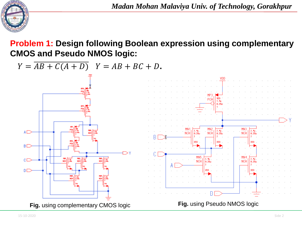

*Madan Mohan Malaviya Univ. of Technology, Gorakhpur*

#### **Problem 1: Design following Boolean expression using complementary CMOS and Pseudo NMOS logic:**

 $Y = \overline{AB + C(A + D)}$   $Y = AB + BC + D$ .

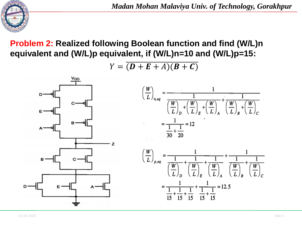

## **Problem 2: Realized following Boolean function and find (W/L)n equivalent and (W/L)p equivalent, if (W/L)n=10 and (W/L)p=15:**

$$
Y = \overline{(\bm{D} + \bm{E} + A)(\bm{B} + \bm{C})}
$$

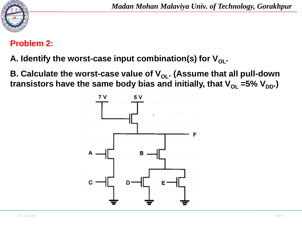

#### **Problem 2:**

- A. Identify the worst-case input combination(s) for  $V_{\text{ol}}$ .
- **B. Calculate the worst-case value of V<sub>OL</sub>. (Assume that all pull-down transistors have the same body bias and initially, that**  $V_{OL} = 5\% V_{DD}$ **.)**

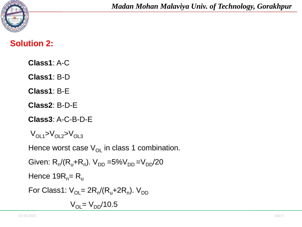

#### **Solution 2:**

**Class1**: A-C

**Class1**: B-D

**Class1**: B-E

**Class2**: B-D-E

**Class3**: A-C-B-D-E

$$
\rm V_{OL1}\rm >\rm V_{OL2}\rm >\rm V_{OL3}
$$

Hence worst case  $V_{OL}$  in class 1 combination.

```
Given: R_n/(R_u+R_n). V_{DD} = 5\%V_{DD} = V_{DD}/20Hence 19R_n= R_uFor Class1: \mathsf{V}_{\mathsf{OL}}= 2\mathsf{R}_{\mathsf{n}}/(\mathsf{R}_{\mathsf{u}}+2\mathsf{R}_{\mathsf{n}}). \mathsf{V}_{\mathsf{DD}}V_{OL} = V_{DD}/10.5
```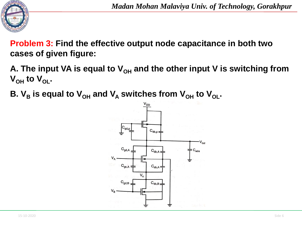

**Problem 3: Find the effective output node capacitance in both two cases of given figure:**

- A. The input VA is equal to V<sub>OH</sub> and the other input V is switching from  $V_{\text{OH}}$  to  $V_{\text{OL}}$ .
- **B.**  $V_B$  is equal to  $V_{OH}$  and  $V_A$  switches from  $V_{OH}$  to  $V_{OL}$ .